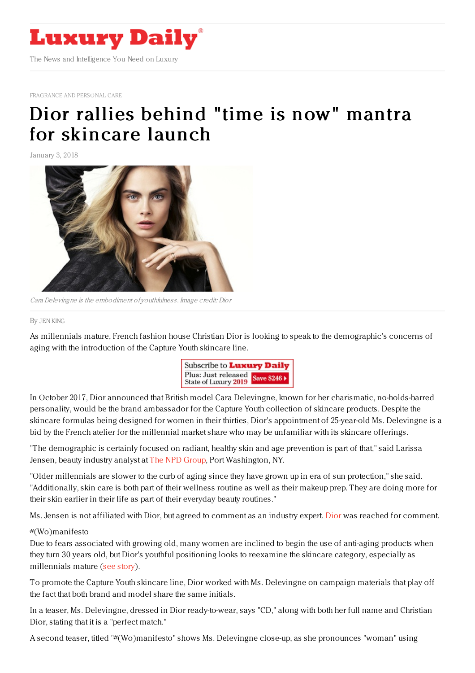

[FRAGRANCE](https://www.luxurydaily.com/category/sectors/fragrance-and-personal-care/) AND PERSONAL CARE

## Dior rallies behind "time is now" mantra for [skincare](https://www.luxurydaily.com/dior-rallies-behind-time-is-now-mantra-for-skincare-launch/) launch

January 3, 2018



Cara Delevingne is the embodiment of youthfulness. Image credit: Dior

## By JEN [KING](file:///author/jen-king)

As millennials mature, French fashion house Christian Dior is looking to speak to the demographic's concerns of aging with the introduction of the Capture Youth skincare line.



In October 2017, Dior announced that British model Cara Delevingne, known for her charismatic, no-holds-barred personality, would be the brand ambassador for the Capture Youth collection of skincare products. Despite the skincare formulas being designed for women in their thirties, Dior's appointment of 25-year-old Ms. Delevingne is a bid by the French atelier for the millennial market share who may be unfamiliar with its skincare offerings.

"The demographic is certainly focused on radiant, healthy skin and age prevention is part of that," said Larissa Jensen, beauty industry analyst at The NPD [Group](https://www.npd.com/wps/portal/npd/us/home/), Port Washington, NY.

"Older millennials are slower to the curb of aging since they have grown up in era of sun protection," she said. "Additionally, skin care is both part of their wellness routine as well as their makeup prep. They are doing more for their skin earlier in their life as part of their everyday beauty routines."

Ms. Jensen is not affiliated with Dior, but agreed to comment as an industry expert. [Dior](http://www.dior.com) was reached for comment.

## #(Wo)manifesto

Due to fears associated with growing old, many women are inclined to begin the use of anti-aging products when they turn 30 years old, but Dior's youthful positioning looks to reexamine the skincare category, especially as millennials mature (see [story](https://www.luxurydaily.com/dior-bids-for-maturing-millennials-with-youthful-skincare-range/)).

To promote the Capture Youth skincare line, Dior worked with Ms. Delevingne on campaign materials that play off the fact that both brand and model share the same initials.

In a teaser, Ms. Delevingne, dressed in Dior ready-to-wear, says "CD," along with both her full name and Christian Dior, stating that it is a "perfect match."

A second teaser, titled "#(Wo)manifesto" shows Ms. Delevingne close-up, as she pronounces "woman" using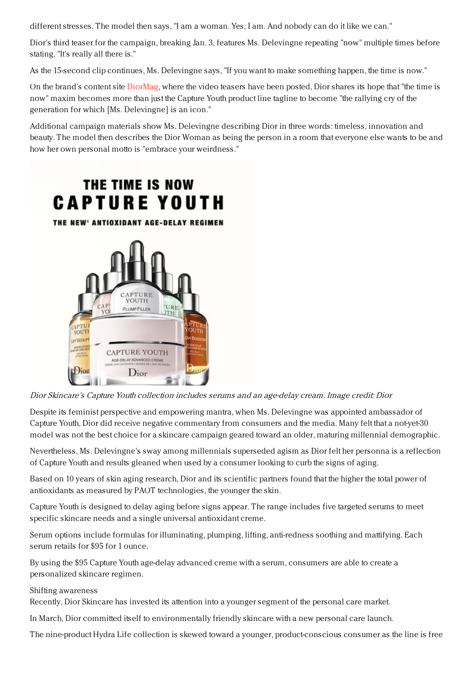different stresses. The model then says, "I am a woman. Yes, I am. And nobody can do it like we can."

Dior's third teaser for the campaign, breaking Jan. 3, features Ms. Delevingne repeating "now" multiple times before stating, "It's really all there is."

As the 15-second clip continues, Ms. Delevingne says, "If you want to make something happen, the time is now."

On the brand's content site [DiorMag](https://www.dior.com/diormag/en_us), where the video teasers have been posted, Dior shares its hope that "the time is now" maxim becomes more than just the Capture Youth product line tagline to become "the rallying cry of the generation for which [Ms. Delevingne] is an icon."

Additional campaign materials show Ms. Delevingne describing Dior in three words: timeless, innovation and beauty. The model then describes the Dior Woman as being the person in a room that everyone else wants to be and how her own personal motto is "embrace your weirdness."



Dior Skincare's Capture Youth collection includes serums and an age-delay cream. Image credit: Dior

Despite its feminist perspective and empowering mantra, when Ms. Delevingne was appointed ambassador of Capture Youth, Dior did receive negative commentary from consumers and the media. Many felt that a not-yet-30 model was not the best choice for a skincare campaign geared toward an older, maturing millennial demographic.

Nevertheless, Ms. Delevingne's sway among millennials superseded agism as Dior felt her personna is a reflection of Capture Youth and results gleaned when used by a consumer looking to curb the signs of aging.

Based on 10 years of skin aging research, Dior and its scientific partners found that the higher the total power of antioxidants as measured by PAOT technologies, the younger the skin.

Capture Youth is designed to delay aging before signs appear. The range includes five targeted serums to meet specific skincare needs and a single universal antioxidant creme.

Serum options include formulas for illuminating, plumping, lifting, anti-redness soothing and mattifying. Each serum retails for \$95 for 1 ounce.

By using the \$95 Capture Youth age-delay advanced creme with a serum, consumers are able to create a personalized skincare regimen.

## Shifting awareness

Recently, Dior Skincare has invested its attention into a younger segment of the personal care market.

In March, Dior committed itself to environmentally friendly skincare with a new personal care launch.

The nine-product Hydra Life collection is skewed toward a younger, product-conscious consumer as the line is free